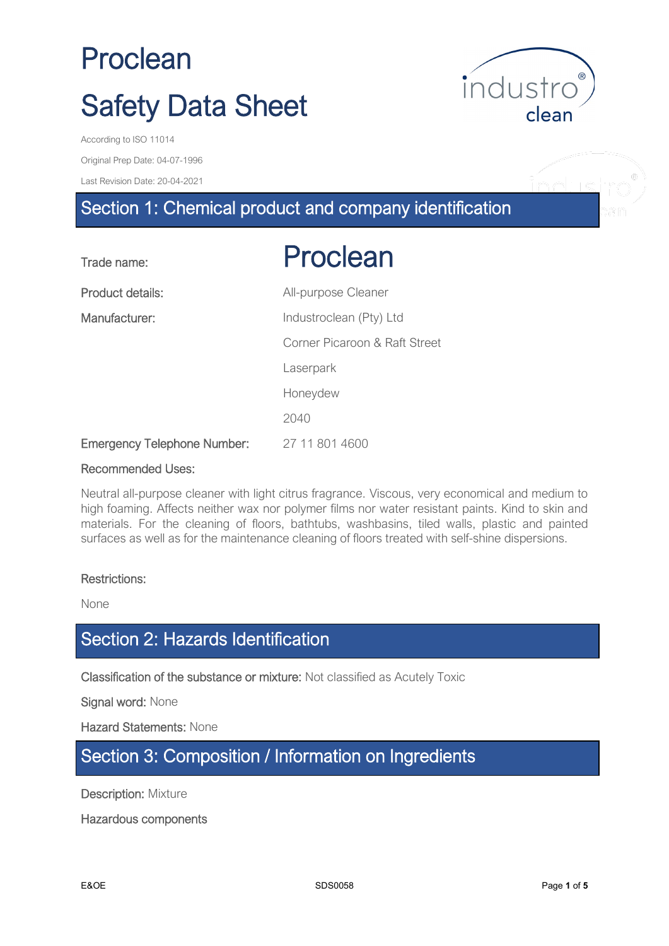

Original Prep Date: 04-07-1996

Last Revision Date: 20-04-2021

# Section 1: Chemical product and company identification

| Trade name:                        | Proclean                      |
|------------------------------------|-------------------------------|
| Product details:                   | All-purpose Cleaner           |
| Manufacturer:                      | Industroclean (Pty) Ltd       |
|                                    | Corner Picaroon & Raft Street |
|                                    | Laserpark                     |
|                                    | Honeydew                      |
|                                    | 2040                          |
| <b>Emergency Telephone Number:</b> | 27 11 801 4600                |

#### Recommended Uses:

Neutral all-purpose cleaner with light citrus fragrance. Viscous, very economical and medium to high foaming. Affects neither wax nor polymer films nor water resistant paints. Kind to skin and materials. For the cleaning of floors, bathtubs, washbasins, tiled walls, plastic and painted surfaces as well as for the maintenance cleaning of floors treated with self-shine dispersions.

#### Restrictions:

None

## Section 2: Hazards Identification

Classification of the substance or mixture: Not classified as Acutely Toxic

Signal word: None

Hazard Statements: None

## Section 3: Composition / Information on Ingredients

**Description: Mixture** 

Hazardous components

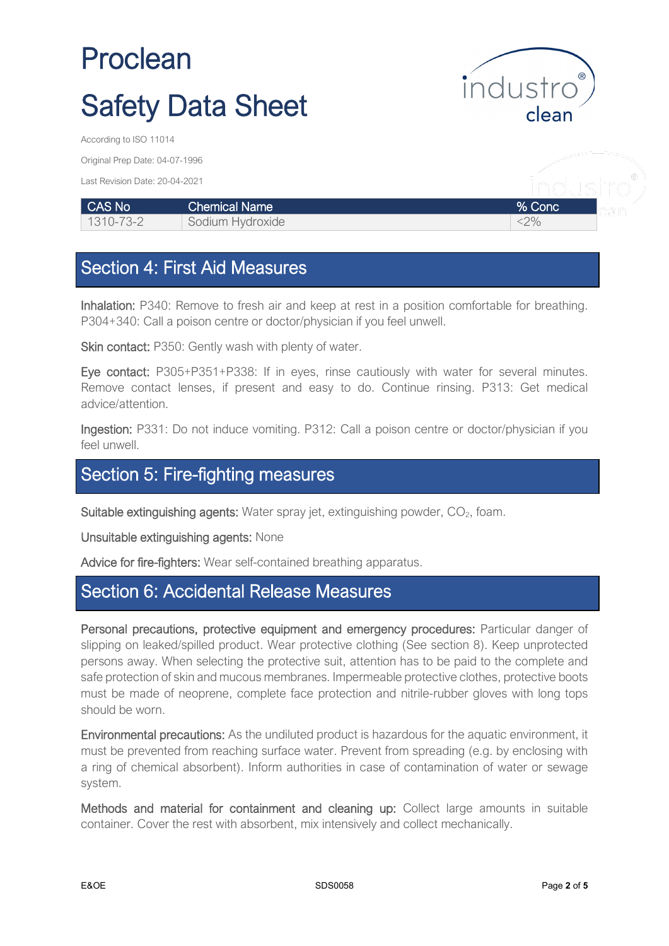

inductro

Original Prep Date: 04-07-1996

Last Revision Date: 20-04-2021

| CAS No          | ∣Chemical Name <sup>।</sup> | % Conc |  |
|-----------------|-----------------------------|--------|--|
| $1310 - 73 - 2$ | Sodium Hydroxide            | $2\%$  |  |

## Section 4: First Aid Measures

Inhalation: P340: Remove to fresh air and keep at rest in a position comfortable for breathing. P304+340: Call a poison centre or doctor/physician if you feel unwell.

Skin contact: P350: Gently wash with plenty of water.

Eye contact: P305+P351+P338: If in eyes, rinse cautiously with water for several minutes. Remove contact lenses, if present and easy to do. Continue rinsing. P313: Get medical advice/attention.

Ingestion: P331: Do not induce vomiting. P312: Call a poison centre or doctor/physician if you feel unwell.

## Section 5: Fire-fighting measures

Suitable extinguishing agents: Water spray jet, extinguishing powder, CO<sub>2</sub>, foam.

Unsuitable extinguishing agents: None

Advice for fire-fighters: Wear self-contained breathing apparatus.

### Section 6: Accidental Release Measures

Personal precautions, protective equipment and emergency procedures: Particular danger of slipping on leaked/spilled product. Wear protective clothing (See section 8). Keep unprotected persons away. When selecting the protective suit, attention has to be paid to the complete and safe protection of skin and mucous membranes. Impermeable protective clothes, protective boots must be made of neoprene, complete face protection and nitrile-rubber gloves with long tops should be worn.

Environmental precautions: As the undiluted product is hazardous for the aquatic environment, it must be prevented from reaching surface water. Prevent from spreading (e.g. by enclosing with a ring of chemical absorbent). Inform authorities in case of contamination of water or sewage system.

Methods and material for containment and cleaning up: Collect large amounts in suitable container. Cover the rest with absorbent, mix intensively and collect mechanically.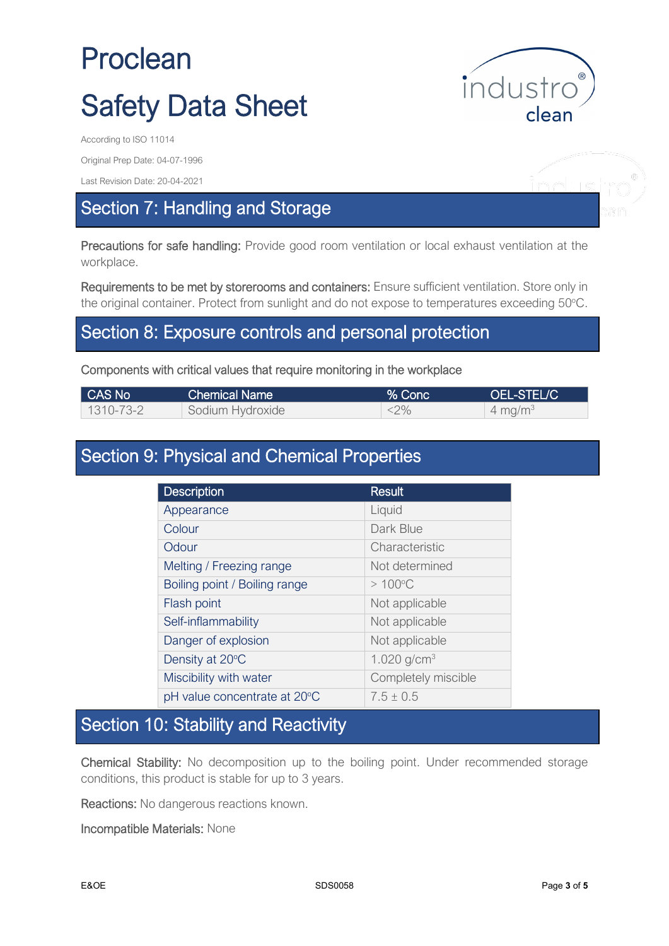

Original Prep Date: 04-07-1996

Last Revision Date: 20-04-2021

## Section 7: Handling and Storage

Precautions for safe handling: Provide good room ventilation or local exhaust ventilation at the workplace.

Requirements to be met by storerooms and containers: Ensure sufficient ventilation. Store only in the original container. Protect from sunlight and do not expose to temperatures exceeding 50°C.

### Section 8: Exposure controls and personal protection

#### Components with critical values that require monitoring in the workplace

| CAS No    | Chemical Name    | $\sqrt{2}$ Conc $\sqrt{2}$ | OEL-STEL/C         |
|-----------|------------------|----------------------------|--------------------|
| 1310-73-2 | Sodium Hydroxide | $<$ 2%                     | $4 \text{ mg/m}^3$ |

## Section 9: Physical and Chemical Properties

| <b>Description</b>            | <b>Result</b>       |
|-------------------------------|---------------------|
| Appearance                    | Liquid              |
| Colour                        | Dark Blue           |
| Odour                         | Characteristic      |
| Melting / Freezing range      | Not determined      |
| Boiling point / Boiling range | $>100^{\circ}$ C    |
| Flash point                   | Not applicable      |
| Self-inflammability           | Not applicable      |
| Danger of explosion           | Not applicable      |
| Density at 20°C               | 1.020 $g/cm^{3}$    |
| Miscibility with water        | Completely miscible |
| pH value concentrate at 20°C  | $7.5 + 0.5$         |

# Section 10: Stability and Reactivity

Chemical Stability: No decomposition up to the boiling point. Under recommended storage conditions, this product is stable for up to 3 years.

Reactions: No dangerous reactions known.

Incompatible Materials: None

nduc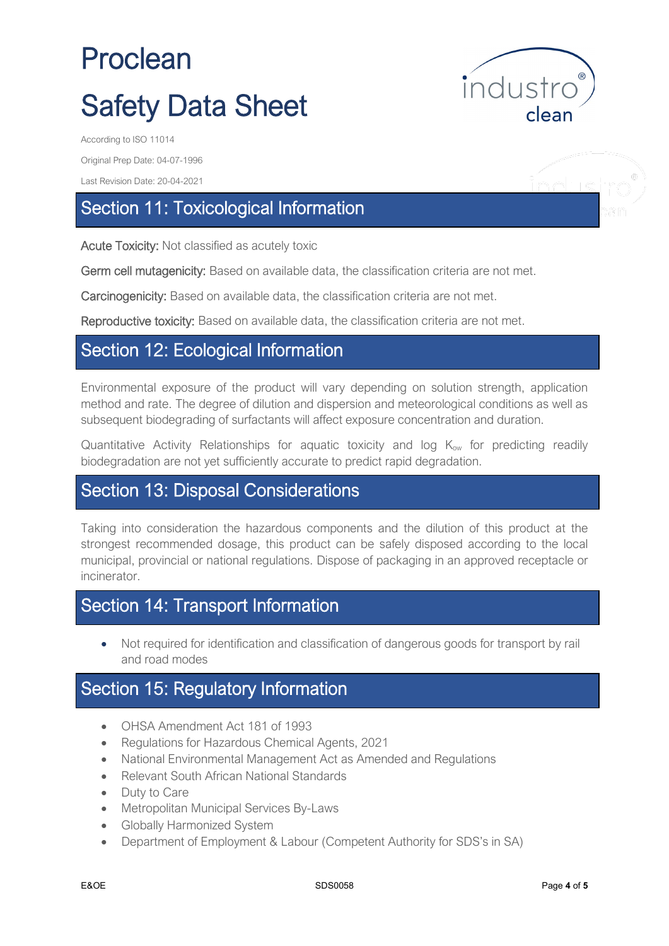industro clean

Original Prep Date: 04-07-1996

Last Revision Date: 20-04-2021

## Section 11: Toxicological Information

Acute Toxicity: Not classified as acutely toxic

Germ cell mutagenicity: Based on available data, the classification criteria are not met.

Carcinogenicity: Based on available data, the classification criteria are not met.

Reproductive toxicity: Based on available data, the classification criteria are not met.

### Section 12: Ecological Information

Environmental exposure of the product will vary depending on solution strength, application method and rate. The degree of dilution and dispersion and meteorological conditions as well as subsequent biodegrading of surfactants will affect exposure concentration and duration.

Quantitative Activity Relationships for aquatic toxicity and log  $K_{ow}$  for predicting readily biodegradation are not yet sufficiently accurate to predict rapid degradation.

### Section 13: Disposal Considerations

Taking into consideration the hazardous components and the dilution of this product at the strongest recommended dosage, this product can be safely disposed according to the local municipal, provincial or national regulations. Dispose of packaging in an approved receptacle or incinerator.

## Section 14: Transport Information

• Not required for identification and classification of dangerous goods for transport by rail and road modes

### Section 15: Regulatory Information

- OHSA Amendment Act 181 of 1993
- Regulations for Hazardous Chemical Agents, 2021
- National Environmental Management Act as Amended and Regulations
- Relevant South African National Standards
- Duty to Care
- Metropolitan Municipal Services By-Laws
- Globally Harmonized System
- Department of Employment & Labour (Competent Authority for SDS's in SA)